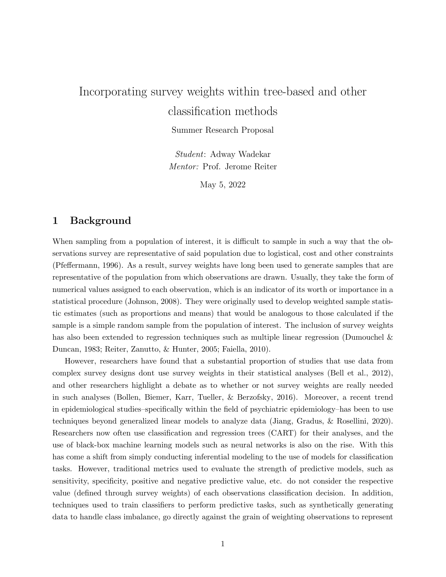## Incorporating survey weights within tree-based and other classification methods

Summer Research Proposal

*Student*: Adway Wadekar *Mentor:* Prof. Jerome Reiter

May 5, 2022

## 1 Background

When sampling from a population of interest, it is difficult to sample in such a way that the observations survey are representative of said population due to logistical, cost and other constraints (Pfeffermann, 1996). As a result, survey weights have long been used to generate samples that are representative of the population from which observations are drawn. Usually, they take the form of numerical values assigned to each observation, which is an indicator of its worth or importance in a statistical procedure (Johnson, 2008). They were originally used to develop weighted sample statistic estimates (such as proportions and means) that would be analogous to those calculated if the sample is a simple random sample from the population of interest. The inclusion of survey weights has also been extended to regression techniques such as multiple linear regression (Dumouchel & Duncan, 1983; Reiter, Zanutto, & Hunter, 2005; Faiella, 2010).

However, researchers have found that a substantial proportion of studies that use data from complex survey designs dont use survey weights in their statistical analyses (Bell et al., 2012), and other researchers highlight a debate as to whether or not survey weights are really needed in such analyses (Bollen, Biemer, Karr, Tueller, & Berzofsky, 2016). Moreover, a recent trend in epidemiological studies–specifically within the field of psychiatric epidemiology–has been to use techniques beyond generalized linear models to analyze data (Jiang, Gradus, & Rosellini, 2020). Researchers now often use classification and regression trees (CART) for their analyses, and the use of black-box machine learning models such as neural networks is also on the rise. With this has come a shift from simply conducting inferential modeling to the use of models for classification tasks. However, traditional metrics used to evaluate the strength of predictive models, such as sensitivity, specificity, positive and negative predictive value, etc. do not consider the respective value (defined through survey weights) of each observations classification decision. In addition, techniques used to train classifiers to perform predictive tasks, such as synthetically generating data to handle class imbalance, go directly against the grain of weighting observations to represent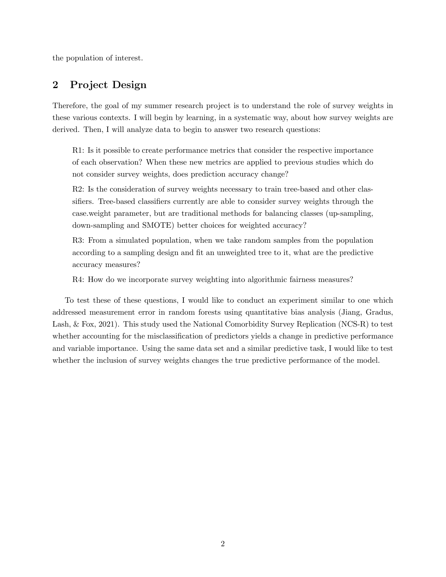the population of interest.

## 2 Project Design

Therefore, the goal of my summer research project is to understand the role of survey weights in these various contexts. I will begin by learning, in a systematic way, about how survey weights are derived. Then, I will analyze data to begin to answer two research questions:

R1: Is it possible to create performance metrics that consider the respective importance of each observation? When these new metrics are applied to previous studies which do not consider survey weights, does prediction accuracy change?

R2: Is the consideration of survey weights necessary to train tree-based and other classifiers. Tree-based classifiers currently are able to consider survey weights through the case.weight parameter, but are traditional methods for balancing classes (up-sampling, down-sampling and SMOTE) better choices for weighted accuracy?

R3: From a simulated population, when we take random samples from the population according to a sampling design and fit an unweighted tree to it, what are the predictive accuracy measures?

R4: How do we incorporate survey weighting into algorithmic fairness measures?

To test these of these questions, I would like to conduct an experiment similar to one which addressed measurement error in random forests using quantitative bias analysis (Jiang, Gradus, Lash, & Fox, 2021). This study used the National Comorbidity Survey Replication (NCS-R) to test whether accounting for the misclassification of predictors yields a change in predictive performance and variable importance. Using the same data set and a similar predictive task, I would like to test whether the inclusion of survey weights changes the true predictive performance of the model.